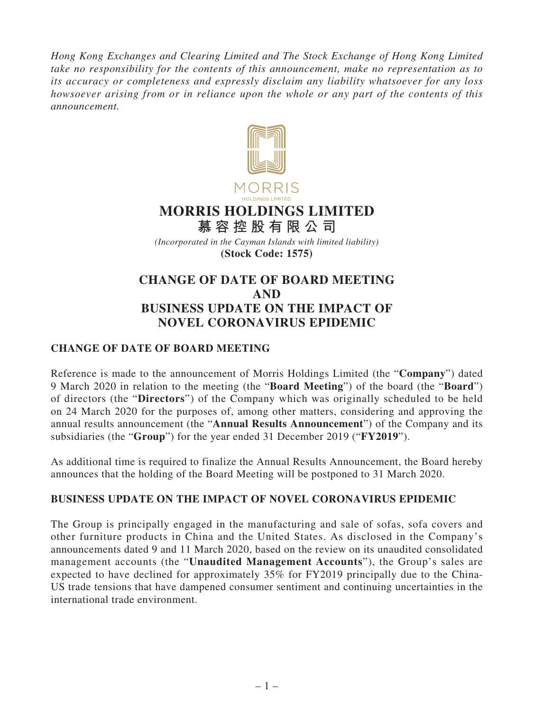*Hong Kong Exchanges and Clearing Limited and The Stock Exchange of Hong Kong Limited take no responsibility for the contents of this announcement, make no representation as to its accuracy or completeness and expressly disclaim any liability whatsoever for any loss howsoever arising from or in reliance upon the whole or any part of the contents of this announcement.*



## **MORRIS HOLDINGS LIMITED**

**慕容控股有限公司** *(Incorporated in the Cayman Islands with limited liability)*

**(Stock Code: 1575)**

## **CHANGE OF DATE OF BOARD MEETING AND BUSINESS UPDATE ON THE IMPACT OF NOVEL CORONAVIRUS EPIDEMIC**

## **CHANGE OF DATE OF BOARD MEETING**

Reference is made to the announcement of Morris Holdings Limited (the "**Company**") dated 9 March 2020 in relation to the meeting (the "**Board Meeting**") of the board (the "**Board**") of directors (the "**Directors**") of the Company which was originally scheduled to be held on 24 March 2020 for the purposes of, among other matters, considering and approving the annual results announcement (the "**Annual Results Announcement**") of the Company and its subsidiaries (the "**Group**") for the year ended 31 December 2019 ("**FY2019**").

As additional time is required to finalize the Annual Results Announcement, the Board hereby announces that the holding of the Board Meeting will be postponed to 31 March 2020.

## **BUSINESS UPDATE ON THE IMPACT OF NOVEL CORONAVIRUS EPIDEMIC**

The Group is principally engaged in the manufacturing and sale of sofas, sofa covers and other furniture products in China and the United States. As disclosed in the Company's announcements dated 9 and 11 March 2020, based on the review on its unaudited consolidated management accounts (the "**Unaudited Management Accounts**"), the Group's sales are expected to have declined for approximately 35% for FY2019 principally due to the China-US trade tensions that have dampened consumer sentiment and continuing uncertainties in the international trade environment.